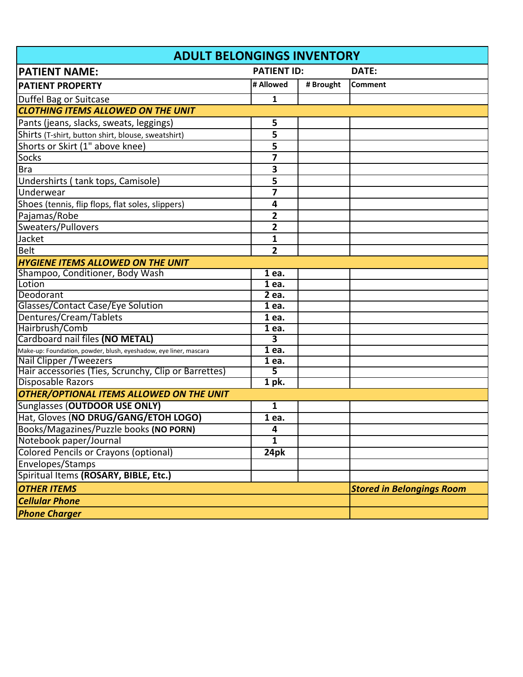| <b>ADULT BELONGINGS INVENTORY</b>                                 |                    |           |                                  |  |  |
|-------------------------------------------------------------------|--------------------|-----------|----------------------------------|--|--|
| <b>PATIENT NAME:</b>                                              | <b>PATIENT ID:</b> |           | DATE:                            |  |  |
| <b>PATIENT PROPERTY</b>                                           | # Allowed          | # Brought | <b>Comment</b>                   |  |  |
| Duffel Bag or Suitcase                                            | 1                  |           |                                  |  |  |
| <b>CLOTHING ITEMS ALLOWED ON THE UNIT</b>                         |                    |           |                                  |  |  |
| Pants (jeans, slacks, sweats, leggings)                           | 5                  |           |                                  |  |  |
| Shirts (T-shirt, button shirt, blouse, sweatshirt)                | 5                  |           |                                  |  |  |
| Shorts or Skirt (1" above knee)                                   | 5                  |           |                                  |  |  |
| Socks                                                             | 7                  |           |                                  |  |  |
| <b>Bra</b>                                                        | 3                  |           |                                  |  |  |
| Undershirts (tank tops, Camisole)                                 | 5                  |           |                                  |  |  |
| Underwear                                                         | $\overline{7}$     |           |                                  |  |  |
| Shoes (tennis, flip flops, flat soles, slippers)                  | 4                  |           |                                  |  |  |
| Pajamas/Robe                                                      | 2                  |           |                                  |  |  |
| Sweaters/Pullovers                                                | 2                  |           |                                  |  |  |
| Jacket                                                            | 1                  |           |                                  |  |  |
| <b>Belt</b>                                                       | $\overline{2}$     |           |                                  |  |  |
| <b>HYGIENE ITEMS ALLOWED ON THE UNIT</b>                          |                    |           |                                  |  |  |
| Shampoo, Conditioner, Body Wash                                   | $\overline{1}$ ea. |           |                                  |  |  |
| Lotion                                                            | $\overline{1}$ ea. |           |                                  |  |  |
| Deodorant                                                         | $\overline{2}$ ea. |           |                                  |  |  |
| Glasses/Contact Case/Eye Solution                                 | $\overline{1}$ ea. |           |                                  |  |  |
| Dentures/Cream/Tablets                                            | 1 ea.              |           |                                  |  |  |
| Hairbrush/Comb                                                    | $\overline{1}$ ea. |           |                                  |  |  |
| Cardboard nail files (NO METAL)                                   | 3                  |           |                                  |  |  |
| Make-up: Foundation, powder, blush, eyeshadow, eye liner, mascara | 1 ea.              |           |                                  |  |  |
| <b>Nail Clipper / Tweezers</b>                                    | 1 ea.              |           |                                  |  |  |
| Hair accessories (Ties, Scrunchy, Clip or Barrettes)              | 5                  |           |                                  |  |  |
| <b>Disposable Razors</b>                                          | $1$ pk.            |           |                                  |  |  |
| OTHER/OPTIONAL ITEMS ALLOWED ON THE UNIT                          |                    |           |                                  |  |  |
| Sunglasses (OUTDOOR USE ONLY)                                     | 1                  |           |                                  |  |  |
| Hat, Gloves (NO DRUG/GANG/ETOH LOGO)                              | 1 ea.              |           |                                  |  |  |
| Books/Magazines/Puzzle books (NO PORN)                            | 4                  |           |                                  |  |  |
| Notebook paper/Journal                                            | 1                  |           |                                  |  |  |
| <b>Colored Pencils or Crayons (optional)</b>                      | 24pk               |           |                                  |  |  |
| Envelopes/Stamps                                                  |                    |           |                                  |  |  |
| Spiritual Items (ROSARY, BIBLE, Etc.)                             |                    |           |                                  |  |  |
| <b>OTHER ITEMS</b>                                                |                    |           | <b>Stored in Belongings Room</b> |  |  |
| <b>Cellular Phone</b>                                             |                    |           |                                  |  |  |
| <b>Phone Charger</b>                                              |                    |           |                                  |  |  |